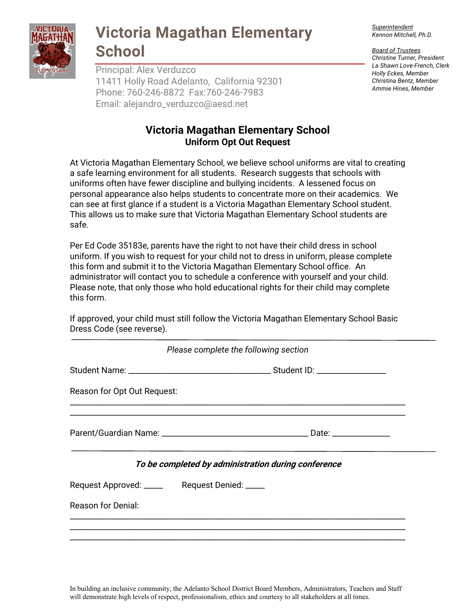

### **Victoria Magathan Elementary School**

Principal: Alex Verduzco 11411 Holly Road Adelanto, California 92301 Phone: 760-246-8872 Fax:760-246-7983 Email: alejandro\_verduzco@aesd.net

### **Victoria Magathan Elementary School Uniform Opt Out Request**

At Victoria Magathan Elementary School, we believe school uniforms are vital to creating a safe learning environment for all students. Research suggests that schools with uniforms often have fewer discipline and bullying incidents. A lessened focus on personal appearance also helps students to concentrate more on their academics. We can see at first glance if a student is a Victoria Magathan Elementary School student. This allows us to make sure that Victoria Magathan Elementary School students are safe.

Per Ed Code 35183e, parents have the right to not have their child dress in school uniform. If you wish to request for your child not to dress in uniform, please complete this form and submit it to the Victoria Magathan Elementary School office. An administrator will contact you to schedule a conference with yourself and your child. Please note, that only those who hold educational rights for their child may complete this form.

If approved, your child must still follow the Victoria Magathan Elementary School Basic Dress Code (see reverse).

|                                                    | Please complete the following section               |  |
|----------------------------------------------------|-----------------------------------------------------|--|
|                                                    |                                                     |  |
| Reason for Opt Out Request:                        |                                                     |  |
|                                                    |                                                     |  |
|                                                    | To be completed by administration during conference |  |
| Request Approved: __________ Request Denied: _____ |                                                     |  |
| Reason for Denial:                                 |                                                     |  |
|                                                    |                                                     |  |

*Superintendent Kennon Mitchell, Ph.D.*

*Board of Trustees Christine Turner, President La Shawn Love-French, Clerk Holly Eckes, Member Christina Bentz, Member Ammie Hines, Member*

In building an inclusive community, the Adelanto School District Board Members, Administrators, Teachers and Staff will demonstrate high levels of respect, professionalism, ethics and courtesy to all stakeholders at all times.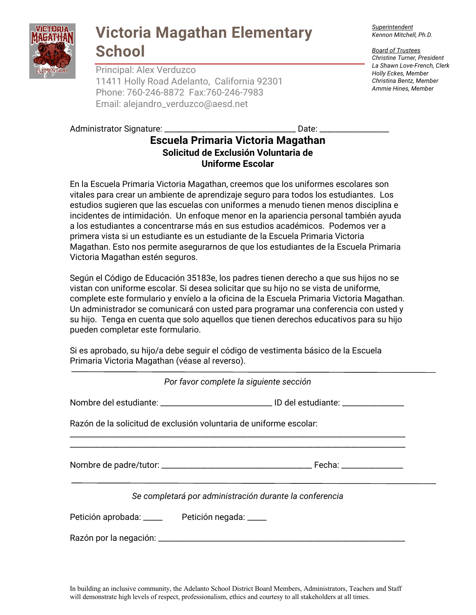

## **Victoria Magathan Elementary School**

Principal: Alex Verduzco 11411 Holly Road Adelanto, California 92301 Phone: 760-246-8872 Fax:760-246-7983 Email: alejandro\_verduzco@aesd.net

#### Administrator Signature: \_\_\_\_\_\_\_\_\_\_\_\_\_\_\_\_\_\_\_\_\_\_\_\_\_\_\_\_\_\_\_\_\_\_ Date: \_\_\_\_\_\_\_\_\_\_\_\_\_\_\_\_\_\_

### **Escuela Primaria Victoria Magathan Solicitud de Exclusión Voluntaria de Uniforme Escolar**

En la Escuela Primaria Victoria Magathan, creemos que los uniformes escolares son vitales para crear un ambiente de aprendizaje seguro para todos los estudiantes. Los estudios sugieren que las escuelas con uniformes a menudo tienen menos disciplina e incidentes de intimidación. Un enfoque menor en la apariencia personal también ayuda a los estudiantes a concentrarse más en sus estudios académicos. Podemos ver a primera vista si un estudiante es un estudiante de la Escuela Primaria Victoria Magathan. Esto nos permite asegurarnos de que los estudiantes de la Escuela Primaria Victoria Magathan estén seguros.

Según el Código de Educación 35183e, los padres tienen derecho a que sus hijos no se vistan con uniforme escolar. Si desea solicitar que su hijo no se vista de uniforme, complete este formulario y envíelo a la oficina de la Escuela Primaria Victoria Magathan. Un administrador se comunicará con usted para programar una conferencia con usted y su hijo. Tenga en cuenta que solo aquellos que tienen derechos educativos para su hijo pueden completar este formulario.

Si es aprobado, su hijo/a debe seguir el código de vestimenta básico de la Escuela Primaria Victoria Magathan (véase al reverso).

|                                                                    | Por favor complete la siguiente sección                 |
|--------------------------------------------------------------------|---------------------------------------------------------|
|                                                                    |                                                         |
| Razón de la solicitud de exclusión voluntaria de uniforme escolar: |                                                         |
|                                                                    |                                                         |
|                                                                    | Se completará por administración durante la conferencia |
| Petición aprobada: _____ Petición negada: ____                     |                                                         |
|                                                                    |                                                         |

*Superintendent Kennon Mitchell, Ph.D.*

*Board of Trustees Christine Turner, President La Shawn Love-French, Clerk Holly Eckes, Member Christina Bentz, Member Ammie Hines, Member*

In building an inclusive community, the Adelanto School District Board Members, Administrators, Teachers and Staff will demonstrate high levels of respect, professionalism, ethics and courtesy to all stakeholders at all times.